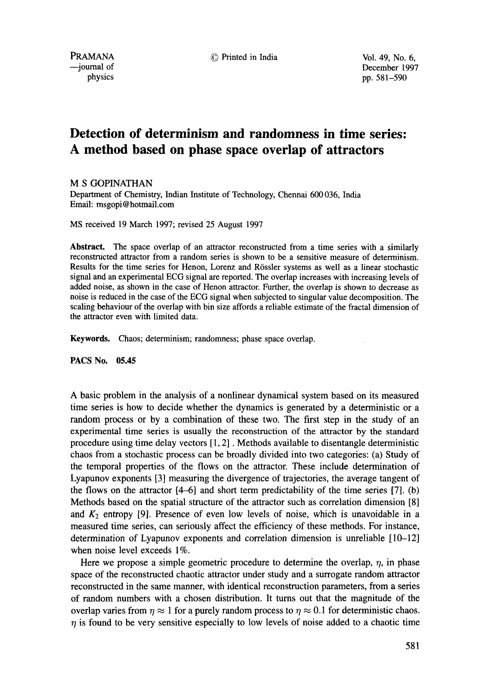PRAMANA © Printed in India Vol. 49, No. 6, urnal of December 1997<br>physics on the December 1997<br>physics on the December 1997 pp. 581-590

# **Detection of determinism and randomness in time series: A method based on phase space overlap of attractors**

M S GOPINATHAN

Department of Chemistry, Indian Institute of Technology, Chennai 600 036, India Email: msgopi@hotmail.com

MS received 19 March 1997; revised 25 August 1997

**Abstract.** The space overlap of an attractor reconstructed from a time series with a similarly reconstructed attractor from a random series is shown to be a sensitive measure of determinism. Results for the time series for Henon, Lorenz and Rössler systems as well as a linear stochastic signal and an experimental ECG signal are reported. The overlap increases with increasing levels of added noise, as shown in the case of Henon attractor. Further, the overlap is shown to decrease as noise is reduced in the case of the ECG signal when subjected to singular value decomposition. The scaling behaviour of the overlap with bin size affords a reliable estimate of the fractal dimension of the attractor even with limited data.

**Keywords.** Chaos; determinism; randomness; phase space overlap.

**PACS No. 05.45** 

A basic problem in the analysis of a nonlinear dynamical system based on its measured time series is how to decide whether the dynamics is generated by a deterministic or a random process or by a combination of these two. The first step in the study of an experimental time series is usually the reconstruction of the attractor by the standard procedure using time delay vectors [1, 2]. Methods available to disentangle deterministic chaos from a stochastic process can be broadly divided into two categories: (a) Study of the temporal properties of the flows on the attractor. These include determination of Lyapunov exponents [3] measuring the divergence of trajectories, the average tangent of the flows on the attractor  $[4-6]$  and short term predictability of the time series  $[7]$ . (b) Methods based on the spatial structure of the attractor such as correlation dimension [8] and  $K_2$  entropy [9]. Presence of even low levels of noise, which is unavoidable in a measured time series, can seriously affect the efficiency of these methods. For instance, determination of Lyapunov exponents and correlation dimension is unreliable [10-12] when noise level exceeds 1%.

Here we propose a simple geometric procedure to determine the overlap,  $\eta$ , in phase space of the reconstructed chaotic attractor under study and a surrogate random attractor reconstructed in the same manner, with identical reconstruction parameters, from a series of random numbers with a chosen distribution. It turns out that the magnitude of the overlap varies from  $\eta \approx 1$  for a purely random process to  $\eta \approx 0.1$  for deterministic chaos.  $\eta$  is found to be very sensitive especially to low levels of noise added to a chaotic time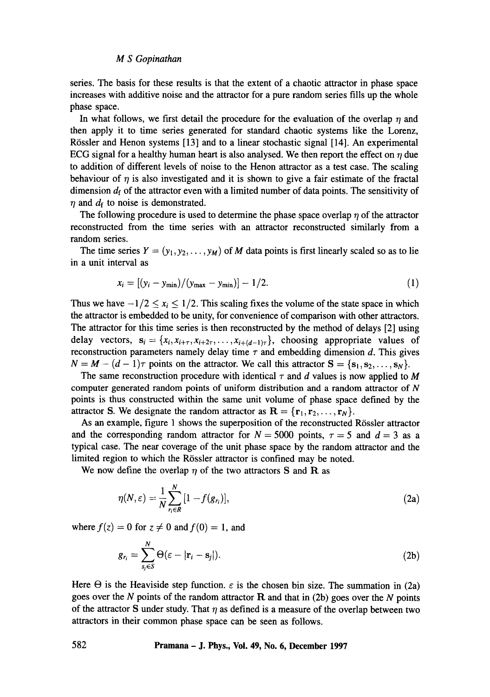# *M S Gopinathan*

series. The basis for these results is that the extent of a chaotic attractor in phase space increases with additive noise and the attractor for a pure random series fills up the whole phase space.

In what follows, we first detail the procedure for the evaluation of the overlap  $\eta$  and then apply it to time series generated for standard chaotic systems like the Lorenz, Rössler and Henon systems [13] and to a linear stochastic signal [14]. An experimental ECG signal for a healthy human heart is also analysed. We then report the effect on  $\eta$  due to addition of different levels of noise to the Henon attractor as a test case. The scaling behaviour of  $\eta$  is also investigated and it is shown to give a fair estimate of the fractal dimension  $d_f$  of the attractor even with a limited number of data points. The sensitivity of  $\eta$  and  $d_f$  to noise is demonstrated.

The following procedure is used to determine the phase space overlap  $\eta$  of the attractor reconstructed from the time series with an attractor reconstructed similarly from a random series.

The time series  $Y = (y_1, y_2, \dots, y_M)$  of M data points is first linearly scaled so as to lie in a unit interval as

$$
x_i = [(y_i - y_{\min})/(y_{\max} - y_{\min})] - 1/2.
$$
 (1)

Thus we have  $-1/2 \le x_i \le 1/2$ . This scaling fixes the volume of the state space in which the attractor is embedded to be unity, for convenience of comparison with other attractors. The attractor for this time series is then reconstructed by the method of delays [2] using delay vectors,  $s_i = \{x_i, x_{i+\tau}, x_{i+2\tau}, \ldots, x_{i+(d-1)\tau}\}\$ , choosing appropriate values of reconstruction parameters namely delay time  $\tau$  and embedding dimension d. This gives  $N = M - (d - 1)\tau$  points on the attractor. We call this attractor  $S = \{s_1, s_2, \ldots, s_N\}.$ 

The same reconstruction procedure with identical  $\tau$  and d values is now applied to M computer generated random points of uniform distribution and a random attractor of N points is thus constructed within the same unit volume of phase space defined by the attractor S. We designate the random attractor as  $\mathbf{R} = {\mathbf{r}_1, \mathbf{r}_2, \dots, \mathbf{r}_N}$ .

As an example, figure 1 shows the superposition of the reconstructed Rössler attractor and the corresponding random attractor for  $N = 5000$  points,  $\tau = 5$  and  $d = 3$  as a typical case. The near coverage of the unit phase space by the random attractor and the limited region to which the Rössler attractor is confined may be noted.

We now define the overlap  $\eta$  of the two attractors S and R as

$$
\eta(N,\varepsilon)=\frac{1}{N}\sum_{r_i\in R}^N[1-f(g_{r_i})],\qquad(2a)
$$

where  $f(z) = 0$  for  $z \neq 0$  and  $f(0) = 1$ , and

$$
g_{r_i} = \sum_{s_j \in S} \Theta(\varepsilon - |\mathbf{r}_i - \mathbf{s}_j|). \tag{2b}
$$

Here  $\Theta$  is the Heaviside step function,  $\varepsilon$  is the chosen bin size. The summation in (2a) goes over the N points of the random attractor  $R$  and that in (2b) goes over the N points of the attractor S under study. That  $\eta$  as defined is a measure of the overlap between two attractors in their common phase space can be seen as follows.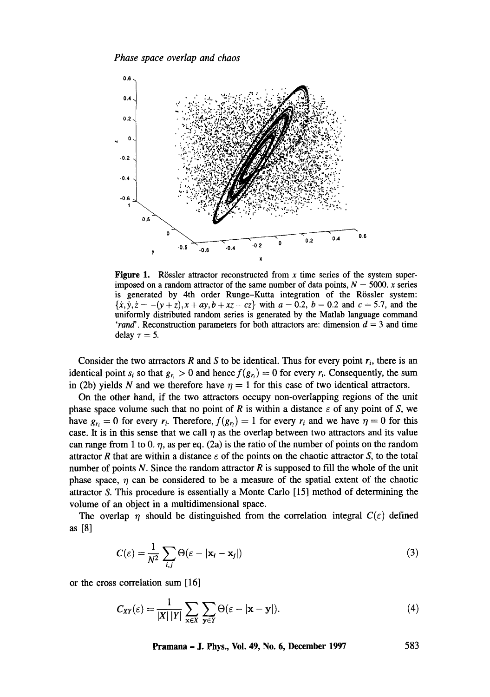

**Figure 1.** Rössler attractor reconstructed from x time series of the system superimposed on a random attractor of the same number of data points,  $N = 5000$ . x series is generated by 4th order Runge-Kutta integration of the Rössler system:  ${x, y, z = -(y + z), x + ay, b + xz - cz}$  with  $a = 0.2$ ,  $b = 0.2$  and  $c = 5.7$ , and the uniformly distributed random series is generated by the Matlab language command *'rand'*. Reconstruction parameters for both attractors are: dimension  $d = 3$  and time delay  $\tau = 5$ .

Consider the two atrractors R and S to be identical. Thus for every point  $r_i$ , there is an identical point  $s_i$  so that  $g_r > 0$  and hence  $f(g_r) = 0$  for every  $r_i$ . Consequently, the sum in (2b) yields N and we therefore have  $\eta = 1$  for this case of two identical attractors.

On the other hand, if the two attractors occupy non-overlapping regions of the unit phase space volume such that no point of R is within a distance  $\varepsilon$  of any point of S, we have  $g_r = 0$  for every  $r_i$ . Therefore,  $f(g_r) = 1$  for every  $r_i$  and we have  $\eta = 0$  for this case. It is in this sense that we call  $\eta$  as the overlap between two attractors and its value can range from 1 to 0.  $\eta$ , as per eq. (2a) is the ratio of the number of points on the random attractor R that are within a distance  $\varepsilon$  of the points on the chaotic attractor S, to the total number of points N. Since the random attractor R is supposed to fill the whole of the unit phase space,  $\eta$  can be considered to be a measure of the spatial extent of the chaotic attractor S. This procedure is essentially a Monte Carlo [15] method of determining the volume of an object in a multidimensional space.

The overlap  $\eta$  should be distinguished from the correlation integral  $C(\varepsilon)$  defined as **[8]** 

$$
C(\varepsilon) = \frac{1}{N^2} \sum_{i,j} \Theta(\varepsilon - |\mathbf{x}_i - \mathbf{x}_j|)
$$
 (3)

or the cross correlation sum [16]

$$
C_{XY}(\varepsilon) = \frac{1}{|X| |Y|} \sum_{\mathbf{x} \in X} \sum_{\mathbf{y} \in Y} \Theta(\varepsilon - |\mathbf{x} - \mathbf{y}|). \tag{4}
$$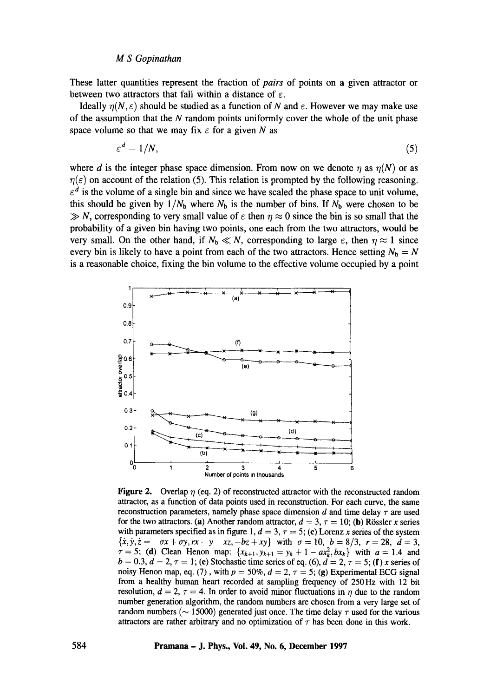#### *M S Gopinathan*

These latter quantities represent the fraction of *pairs* of points on a given attractor or between two attractors that fall within a distance of  $\varepsilon$ .

Ideally  $n(N, \varepsilon)$  should be studied as a function of N and  $\varepsilon$ . However we may make use of the assumption that the  $N$  random points uniformly cover the whole of the unit phase space volume so that we may fix  $\epsilon$  for a given N as

$$
\varepsilon^d = 1/N,\tag{5}
$$

where d is the integer phase space dimension. From now on we denote  $\eta$  as  $\eta(N)$  or as  $\eta(\varepsilon)$  on account of the relation (5). This relation is prompted by the following reasoning.  $\epsilon^d$  is the volume of a single bin and since we have scaled the phase space to unit volume, this should be given by  $1/N_b$  where  $N_b$  is the number of bins. If  $N_b$  were chosen to be  $\gg N$ , corresponding to very small value of  $\varepsilon$  then  $\eta \approx 0$  since the bin is so small that the probability of a given bin having two points, one each from the two attractors, would be very small. On the other hand, if  $N_b \ll N$ , corresponding to large  $\varepsilon$ , then  $\eta \approx 1$  since every bin is likely to have a point from each of the two attractors. Hence setting  $N_b = N$ is a reasonable choice, fixing the bin volume to the effective volume occupied by a point



**Figure 2.** Overlap  $\eta$  (eq. 2) of reconstructed attractor with the reconstructed random attractor, as a function of data points used in reconstruction. For each curve, the same reconstruction parameters, namely phase space dimension  $d$  and time delay  $\tau$  are used for the two attractors. (a) Another random attractor,  $d = 3$ ,  $\tau = 10$ ; (b) Rössler x series with parameters specified as in figure 1,  $d = 3$ ,  $\tau = 5$ ; (c) Lorenz x series of the system  $\{\dot{x}, \dot{y}, \dot{z} = -\sigma x + \sigma y, r x - y - x z, -b z + xy\}$  with  $\sigma = 10$ ,  $b = 8/3$ ,  $r = 28$ ,  $d = 3$ ,  $\tau = 5$ ; (d) Clean Henon map:  $\{x_{k+1}, y_{k+1} = y_k + 1 - ax_k^2, bx_k\}$  with  $a = 1.4$  and  $b = 0.3, d = 2, \tau = 1$ ; (e) Stochastic time series of eq. (6),  $d = 2, \tau = 5$ ; (f) x series of noisy Henon map, eq. (7), with  $p = 50\%$ ,  $d = 2$ ,  $\tau = 5$ ; (g) Experimental ECG signal from a healthy human heart recorded at sampling frequency of 250Hz with 12 bit resolution,  $d = 2$ ,  $\tau = 4$ . In order to avoid minor fluctuations in  $\eta$  due to the random number generation algorithm, the random numbers are chosen from a very large set of random numbers ( $\sim$  15000) generated just once. The time delay  $\tau$  used for the various attractors are rather arbitrary and no optimization of  $\tau$  has been done in this work.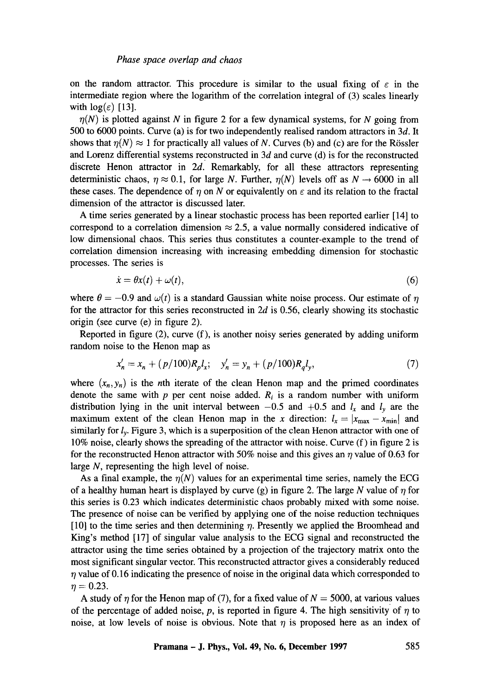on the random attractor. This procedure is similar to the usual fixing of  $\varepsilon$  in the intermediate region where the logarithm of the correlation integral of (3) scales linearly with  $log(\varepsilon)$  [13].

 $\eta(N)$  is plotted against N in figure 2 for a few dynamical systems, for N going from 500 to 6000 points. Curve (a) is for two independently realised random attractors in 3d. It shows that  $\eta(N) \approx 1$  for practically all values of N. Curves (b) and (c) are for the Rössler and Lorenz differential systems reconstructed in  $3d$  and curve (d) is for the reconstructed discrete Henon attractor in  $2d$ . Remarkably, for all these attractors representing deterministic chaos,  $\eta \approx 0.1$ , for large N. Further,  $\eta(N)$  levels off as  $N \rightarrow 6000$  in all these cases. The dependence of  $\eta$  on N or equivalently on  $\varepsilon$  and its relation to the fractal dimension of the attractor is discussed later.

A time series generated by a linear stochastic process has been reported earlier [14] to correspond to a correlation dimension  $\approx$  2.5, a value normally considered indicative of low dimensional chaos. This series thus constitutes a counter-example to the trend of correlation dimension increasing with increasing embedding dimension for stochastic processes. The series is

$$
\dot{x} = \theta x(t) + \omega(t),\tag{6}
$$

where  $\theta = -0.9$  and  $\omega(t)$  is a standard Gaussian white noise process. Our estimate of  $\eta$ for the attractor for this series reconstructed in  $2d$  is 0.56, clearly showing its stochastic origin (see curve (e) in figure 2).

Reported in figure (2), curve (f), is another noisy series generated by adding uniform random noise to the Henon map as

$$
x'_n = x_n + (p/100)R_p l_x; \quad y'_n = y_n + (p/100)R_q l_y,\tag{7}
$$

where  $(x_n, y_n)$  is the *n*th iterate of the clean Henon map and the primed coordinates denote the same with  $p$  per cent noise added.  $R_i$  is a random number with uniform distribution lying in the unit interval between  $-0.5$  and  $+0.5$  and  $l_x$  and  $l_y$  are the maximum extent of the clean Henon map in the x direction:  $l_x = |x_{\text{max}} - x_{\text{min}}|$  and similarly for *ly.* Figure 3, which is a superposition of the clean Henon attractor with one of 10% noise, clearly shows the spreading of the attractor with noise. Curve (f) in figure 2 is for the reconstructed Henon attractor with 50% noise and this gives an  $\eta$  value of 0.63 for large N, representing the high level of noise.

As a final example, the  $\eta(N)$  values for an experimental time series, namely the ECG of a healthy human heart is displayed by curve (g) in figure 2. The large N value of  $\eta$  for this series is 0.23 which indicates deterministic chaos probably mixed with some noise. The presence of noise can be verified by applying one of the noise reduction techniques  $[10]$  to the time series and then determining  $\eta$ . Presently we applied the Broomhead and King's method [17] of singular value analysis to the ECG signal and reconstructed the attractor using the time series obtained by a projection of the trajectory matrix onto the most significant singular vector. This reconstructed attractor gives a considerably reduced  $\eta$  value of 0.16 indicating the presence of noise in the original data which corresponded to  $\eta = 0.23.$ 

A study of  $\eta$  for the Henon map of (7), for a fixed value of  $N = 5000$ , at various values of the percentage of added noise, p, is reported in figure 4. The high sensitivity of  $\eta$  to noise, at low levels of noise is obvious. Note that  $\eta$  is proposed here as an index of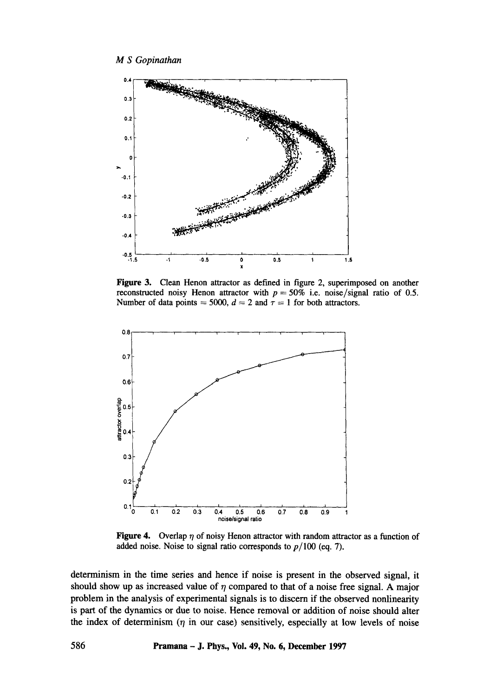

**Figure 3. Clean Henon attractor as defined in figure 2, superimposed on another reconstructed noisy Henon attractor with**  $p = 50\%$  **i.e. noise/signal ratio of 0.5.** Number of data points  $= 5000$ ,  $d = 2$  and  $\tau = 1$  for both attractors.



**Figure 4.** Overlap  $\eta$  of noisy Henon attractor with random attractor as a function of added noise. Noise to signal ratio corresponds to  $p/100$  (eq. 7).

**determinism in the time series and hence if noise is present in the observed signal, it**  should show up as increased value of  $\eta$  compared to that of a noise free signal. A major **problem in the analysis of experimental signals is to discern if the observed nonlinearity is part of the dynamics or due to noise. Hence removal or addition of noise should alter**  the index of determinism  $(\eta$  in our case) sensitively, especially at low levels of noise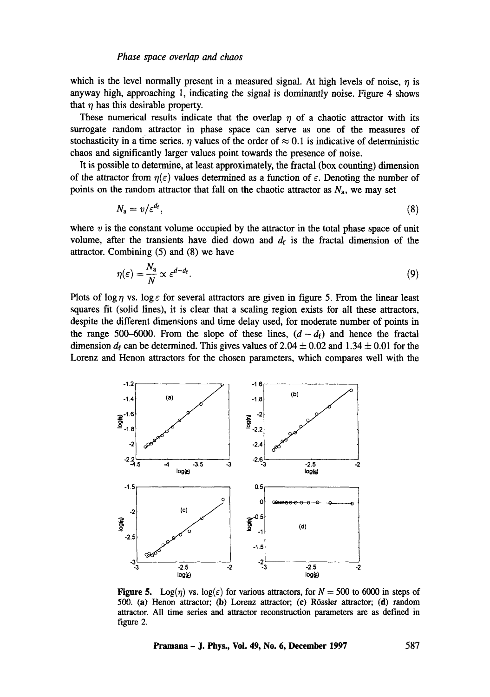which is the level normally present in a measured signal. At high levels of noise,  $\eta$  is **anyway high, approaching 1, indicating the signal is dominantly noise. Figure 4 shows**  that  $\eta$  has this desirable property.

These numerical results indicate that the overlap  $\eta$  of a chaotic attractor with its **surrogate random attractor in phase space can serve as one of the measures of**  stochasticity in a time series.  $\eta$  values of the order of  $\approx 0.1$  is indicative of deterministic **chaos and significantly larger values point towards the presence of noise.** 

**It is possible to determine, at least approximately, the fractal (box counting) dimension**  of the attractor from  $\eta(\varepsilon)$  values determined as a function of  $\varepsilon$ . Denoting the number of points on the random attractor that fall on the chaotic attractor as  $N_a$ , we may set

$$
N_a = v/\varepsilon^{d_f},\tag{8}
$$

where  $v$  is the constant volume occupied by the attractor in the total phase space of unit volume, after the transients have died down and  $d_f$  is the fractal dimension of the **attractor. Combining (5) and (8) we have** 

$$
\eta(\varepsilon) = \frac{N_a}{N} \propto \varepsilon^{d-d_f}.\tag{9}
$$

Plots of log  $\eta$  vs. log  $\varepsilon$  for several attractors are given in figure 5. From the linear least **squares fit (solid lines), it is clear that a scaling region exists for all these attractors, despite the different dimensions and time delay used, for moderate number of points in**  the range 500–6000. From the slope of these lines,  $(d-d_f)$  and hence the fractal dimension  $d_f$  can be determined. This gives values of 2.04  $\pm$  0.02 and 1.34  $\pm$  0.01 for the **Lorenz and Henon attractors for the chosen parameters, which compares well with the** 



**Figure 5.** Log( $\eta$ ) **vs.** log( $\varepsilon$ ) for various attractors, for  $N = 500$  to 6000 in steps of 500. (a) **Henon attractor;** (b) Lorenz attractor; (c) **Rfssler attractor; (d) random attractor. All time series and attractor reconstruction parameters are as defined in figure** 2.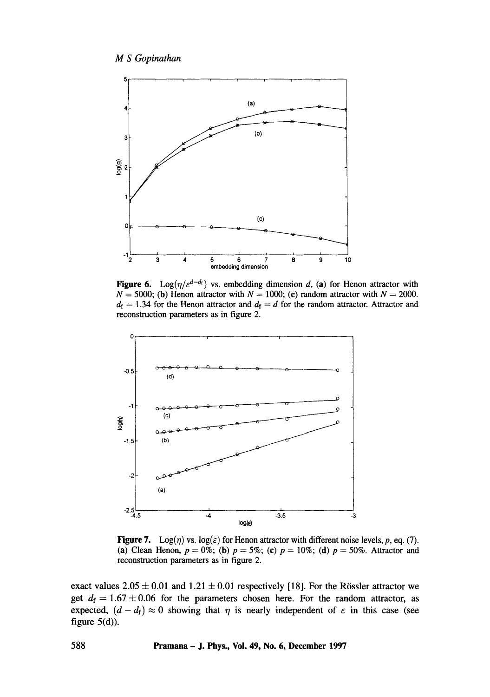

Figure 6. Log( $\eta/\varepsilon^{d-d_f}$ ) vs. embedding dimension d, (a) for Henon attractor with  $N = 5000$ ; (b) Henon attractor with  $N = 1000$ ; (c) random attractor with  $N = 2000$ .  $d_f = 1.34$  for the Henon attractor and  $d_f = d$  for the random attractor. Attractor and reconstruction parameters as in figure 2.



Figure 7. Log( $\eta$ ) vs. log( $\varepsilon$ ) for Henon attractor with different noise levels, p, eq. (7). (a) Clean Henon,  $p = 0\%$ ; (b)  $p = 5\%$ ; (c)  $p = 10\%$ ; (d)  $p = 50\%$ . Attractor and reconstruction parameters as in figure 2.

exact values  $2.05 \pm 0.01$  and  $1.21 \pm 0.01$  respectively [18]. For the Rössler attractor we get  $d_f = 1.67 \pm 0.06$  for the parameters chosen here. For the random attractor, as expected,  $(d - d_f) \approx 0$  showing that  $\eta$  is nearly independent of  $\varepsilon$  in this case (see figure  $5(d)$ ).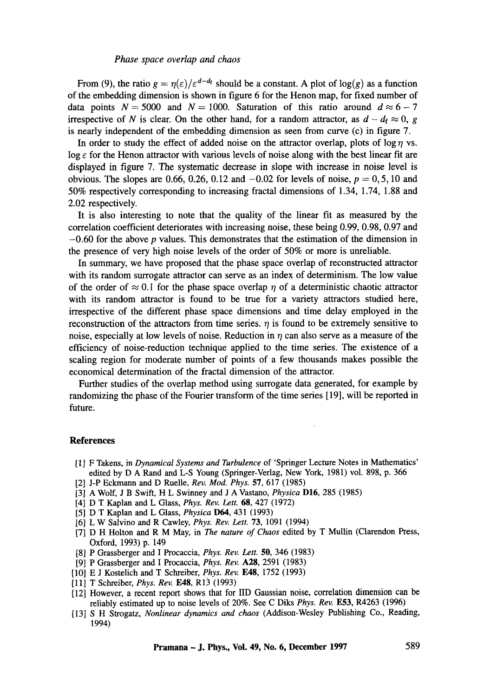## *Phase space overlap and chaos*

From (9), the ratio  $g = \eta(\varepsilon)/\varepsilon^{d-d_f}$  should be a constant. A plot of log(g) as a function of the embedding dimension is shown in figure 6 for the Henon map, for fixed number of data points  $N = 5000$  and  $N = 1000$ . Saturation of this ratio around  $d \approx 6-7$ irrespective of N is clear. On the other hand, for a random attractor, as  $d - d_f \approx 0$ , g is nearly independent of the embedding dimension as seen from curve (c) in figure 7.

In order to study the effect of added noise on the attractor overlap, plots of  $\log \eta$  vs.  $\log \varepsilon$  for the Henon attractor with various levels of noise along with the best linear fit are displayed in figure 7. The systematic decrease in slope with increase in noise level is obvious. The slopes are 0.66, 0.26, 0.12 and  $-0.02$  for levels of noise,  $p = 0, 5, 10$  and 50% respectively corresponding to increasing fractal dimensions of 1.34, 1.74, 1.88 and 2.02 respectively.

It is also interesting to note that the quality of the linear fit as measured by the correlation coefficient deteriorates with increasing noise, these being 0.99, 0.98, 0.97 and  $-0.60$  for the above p values. This demonstrates that the estimation of the dimension in the presence of very high noise levels of the order of 50% or more is unreliable.

In summary, we have proposed that the phase space overlap of reconstructed attractor with its random surrogate attractor can serve as an index of determinism. The low value of the order of  $\approx 0.1$  for the phase space overlap  $\eta$  of a deterministic chaotic attractor with its random attractor is found to be true for a variety attractors studied here, irrespective of the different phase space dimensions and time delay employed in the reconstruction of the attractors from time series.  $\eta$  is found to be extremely sensitive to noise, especially at low levels of noise. Reduction in  $\eta$  can also serve as a measure of the efficiency of noise-reduction technique applied to the time series. The existence of a scaling region for moderate number of points of a few thousands makes possible the economical determination of the fractal dimension of the attractor.

Further studies of the overlap method using surrogate data generated, for example by randomizing the phase of the Fourier transform of the time series [19], will be reported in future.

### **References**

- [1] F Takens, in *Dynamical Systems and Turbulence* of 'Springer Lecture Notes in Mathematics' edited by D A Rand and L-S Young (Springer-Verlag, New York, 1981) vol. 898, p. 366
- [2] J-P Eckmann and D Ruelle, *Rev. Mod. Phys.* 57, 617 (1985)
- [3] A Wolf, J B Swift, H L Swinney and J A Vastano, *Physica* D16, 285 (1985)
- [4] D T Kaplan and L Glass, *Phys. Rev. Lett.* 68, 427 (1972)
- [5] D T Kaplan and L Glass, *Physica* D64, 431 (1993)
- [6] L W Salvino and R Cawley, *Phys. Rev. Lett.* 73, 1091 (1994)
- [7] D H Holton and R M May, in The *nature of Chaos* edited by T MuUin (Clarendon Press, Oxford, 1993) p. 149
- [8] P Grassberger and I Procaccia, *Phys. Rev. Lett.* **50,** 346 (1983)
- [9] P Grassberger and I Procaccia, *Phys. Rev.* A28, 2591 (1983)
- [10] E J Kostelich and T Schreiber, *Phys. Rev.* E48, 1752 (1993)
- [11] T Schreiber, *Phys. Rev.* EA8, R13 (1993)
- [12] However, a recent report shows that for liD Gaussian noise, correlation dimension can be reliably estimated up to noise levels of 20%. See C Diks *Phys. Rev.* E53, R4263 (1996)
- [13] S H Strogatz, *Nonlinear dynamics and chaos* (Addison-Wesley Publishing Co., Reading, 1994)